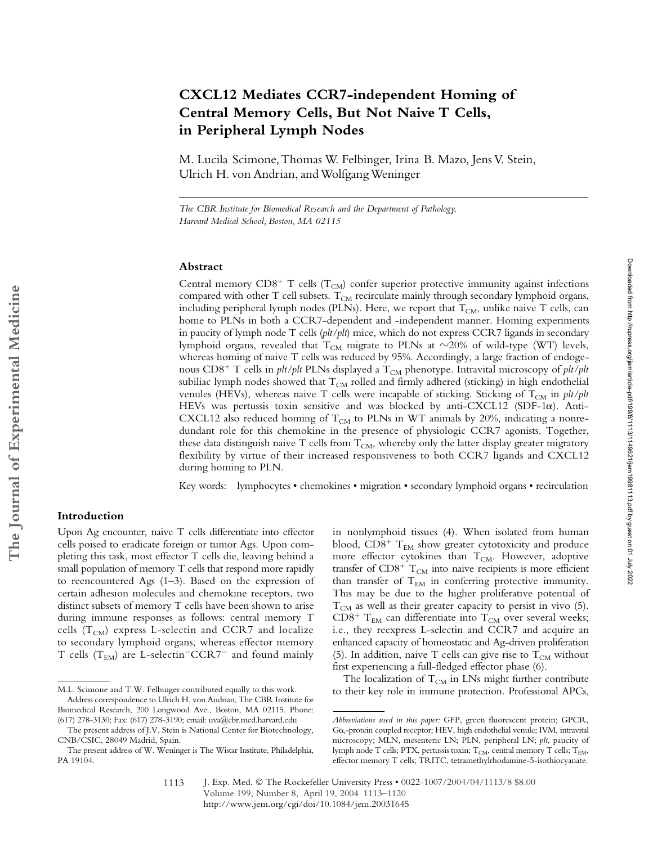# **CXCL12 Mediates CCR7-independent Homing of Central Memory Cells, But Not Naive T Cells, in Peripheral Lymph Nodes**

M. Lucila Scimone, Thomas W. Felbinger, Irina B. Mazo, Jens V. Stein, Ulrich H. von Andrian, and Wolfgang Weninger

*The CBR Institute for Biomedical Research and the Department of Pathology, Harvard Medical School, Boston, MA 02115*

## **Abstract**

Central memory  $CD8^+$  T cells (T<sub>CM</sub>) confer superior protective immunity against infections compared with other T cell subsets.  $T_{CM}$  recirculate mainly through secondary lymphoid organs, including peripheral lymph nodes (PLNs). Here, we report that  $T_{CM}$ , unlike naive T cells, can home to PLNs in both a CCR7-dependent and -independent manner. Homing experiments in paucity of lymph node T cells (*plt/plt*) mice, which do not express CCR7 ligands in secondary lymphoid organs, revealed that  $\rm T_{CM}$  migrate to PLNs at  $\sim$ 20% of wild-type (WT) levels, whereas homing of naive T cells was reduced by 95%. Accordingly, a large fraction of endogenous CD8<sup>+</sup> T cells in *plt/plt* PLNs displayed a T<sub>CM</sub> phenotype. Intravital microscopy of *plt/plt* subiliac lymph nodes showed that  $T_{CM}$  rolled and firmly adhered (sticking) in high endothelial venules (HEVs), whereas naive T cells were incapable of sticking. Sticking of  $T_{CM}$  in *plt/plt* HEVs was pertussis toxin sensitive and was blocked by anti-CXCL12 (SDF-1 $\alpha$ ). Anti-CXCL12 also reduced homing of  $T_{CM}$  to PLNs in WT animals by 20%, indicating a nonredundant role for this chemokine in the presence of physiologic CCR7 agonists. Together, these data distinguish naive T cells from  $T<sub>CM</sub>$ , whereby only the latter display greater migratory flexibility by virtue of their increased responsiveness to both CCR7 ligands and CXCL12 during homing to PLN.

Key words: lymphocytes • chemokines • migration • secondary lymphoid organs • recirculation

## **Introduction**

Upon Ag encounter, naive T cells differentiate into effector cells poised to eradicate foreign or tumor Ags. Upon completing this task, most effector T cells die, leaving behind a small population of memory T cells that respond more rapidly to reencountered Ags (1–3). Based on the expression of certain adhesion molecules and chemokine receptors, two distinct subsets of memory T cells have been shown to arise during immune responses as follows: central memory T cells ( $T_{CM}$ ) express L-selectin and CCR7 and localize to secondary lymphoid organs, whereas effector memory T cells ( $T_{EM}$ ) are L-selectin<sup>-</sup>CCR7<sup>-</sup> and found mainly

in nonlymphoid tissues (4). When isolated from human blood,  $CD8^+$   $T_{EM}$  show greater cytotoxicity and produce more effector cytokines than  $T_{CM}$ . However, adoptive transfer of  $CD8^+$  T<sub>CM</sub> into naive recipients is more efficient than transfer of  $T_{EM}$  in conferring protective immunity. This may be due to the higher proliferative potential of  $T_{CM}$  as well as their greater capacity to persist in vivo (5). CD8<sup>+</sup>  $T_{EM}$  can differentiate into  $T_{CM}$  over several weeks; i.e., they reexpress L-selectin and CCR7 and acquire an enhanced capacity of homeostatic and Ag-driven proliferation (5). In addition, naive T cells can give rise to  $T_{CM}$  without first experiencing a full-fledged effector phase (6).

The localization of  $T_{CM}$  in LNs might further contribute M.L. Scimone and T.W. Felbinger contributed equally to this work. to their key role in immune protection. Professional APCs, Address correspondence to Ulrich H. von Andrian, The CBR Institute for

J. Exp. Med. © The Rockefeller University Press • 0022-1007/2004/04/1113/8 \$8.00 Volume 199, Number 8, April 19, 2004 1113–1120 http://www.jem.org/cgi/doi/10.1084/jem.20031645 1113

Biomedical Research, 200 Longwood Ave., Boston, MA 02115. Phone: (617) 278-3130; Fax: (617) 278-3190; email: uva@cbr.med.harvard.edu

The present address of J.V. Stein is National Center for Biotechnology, CNB/CSIC, 28049 Madrid, Spain.

The present address of W. Weninger is The Wistar Institute, Philadelphia, PA 19104.

*Abbreviations used in this paper:* GFP, green fluorescent protein; GPCR, Go<sub>i</sub>-protein coupled receptor; HEV, high endothelial venule; IVM, intravital microscopy; MLN, mesenteric LN; PLN, peripheral LN; *plt*, paucity of lymph node T cells; PTX, pertussis toxin;  $T_{CM}$ , central memory T cells;  $T_{EM}$ , effector memory T cells; TRITC, tetramethylrhodamine-5-isothiocyanate.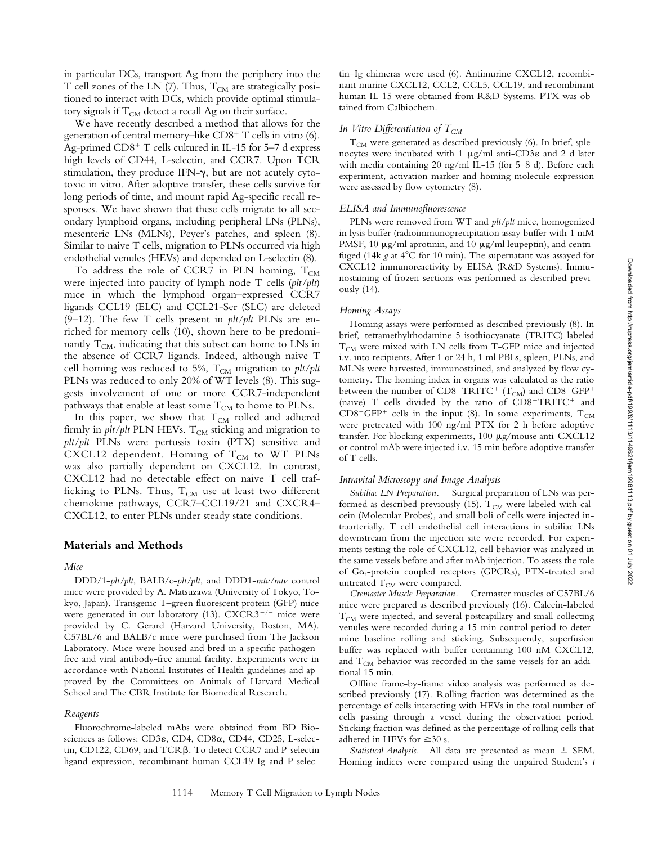in particular DCs, transport Ag from the periphery into the T cell zones of the LN  $(7)$ . Thus,  $T_{CM}$  are strategically positioned to interact with DCs, which provide optimal stimulatory signals if  $T_{CM}$  detect a recall Ag on their surface.

We have recently described a method that allows for the generation of central memory-like CD8<sup>+</sup> T cells in vitro (6). Ag-primed CD8<sup>+</sup> T cells cultured in IL-15 for 5-7 d express high levels of CD44, L-selectin, and CCR7. Upon TCR stimulation, they produce IFN- $\gamma$ , but are not acutely cytotoxic in vitro. After adoptive transfer, these cells survive for long periods of time, and mount rapid Ag-specific recall responses. We have shown that these cells migrate to all secondary lymphoid organs, including peripheral LNs (PLNs), mesenteric LNs (MLNs), Peyer's patches, and spleen (8). Similar to naive T cells, migration to PLNs occurred via high endothelial venules (HEVs) and depended on L-selectin (8).

To address the role of CCR7 in PLN homing,  $T_{CM}$ were injected into paucity of lymph node T cells (*plt/plt*) mice in which the lymphoid organ–expressed CCR7 ligands CCL19 (ELC) and CCL21-Ser (SLC) are deleted (9–12). The few T cells present in *plt/plt* PLNs are enriched for memory cells (10), shown here to be predominantly  $T_{CM}$ , indicating that this subset can home to LNs in the absence of CCR7 ligands. Indeed, although naive T cell homing was reduced to 5%,  $T_{CM}$  migration to *plt/plt* PLNs was reduced to only 20% of WT levels (8). This suggests involvement of one or more CCR7-independent pathways that enable at least some  $T_{CM}$  to home to PLNs.

In this paper, we show that  $T_{CM}$  rolled and adhered firmly in  $plt/plt$  PLN HEVs.  $T_{CM}$  sticking and migration to *plt/plt* PLNs were pertussis toxin (PTX) sensitive and CXCL12 dependent. Homing of  $T_{CM}$  to WT PLNs was also partially dependent on CXCL12. In contrast, CXCL12 had no detectable effect on naive T cell trafficking to PLNs. Thus,  $T_{CM}$  use at least two different chemokine pathways, CCR7–CCL19/21 and CXCR4– CXCL12, to enter PLNs under steady state conditions.

## **Materials and Methods**

#### *Mice*

DDD/1-*plt/plt*, BALB/c-*plt/plt*, and DDD1-*mtv/mtv* control mice were provided by A. Matsuzawa (University of Tokyo, Tokyo, Japan). Transgenic T–green fluorescent protein (GFP) mice were generated in our laboratory (13).  $CXCR3^{-/-}$  mice were provided by C. Gerard (Harvard University, Boston, MA). C57BL/6 and BALB/c mice were purchased from The Jackson Laboratory. Mice were housed and bred in a specific pathogenfree and viral antibody-free animal facility. Experiments were in accordance with National Institutes of Health guidelines and approved by the Committees on Animals of Harvard Medical School and The CBR Institute for Biomedical Research.

#### *Reagents*

Fluorochrome-labeled mAbs were obtained from BD Biosciences as follows:  $CD3\varepsilon$ ,  $CD4$ ,  $CD8\alpha$ ,  $CD44$ ,  $CD25$ , L-selectin, CD122, CD69, and  $TCR\beta$ . To detect CCR7 and P-selectin ligand expression, recombinant human CCL19-Ig and P-selectin–Ig chimeras were used (6). Antimurine CXCL12, recombinant murine CXCL12, CCL2, CCL5, CCL19, and recombinant human IL-15 were obtained from R&D Systems. PTX was obtained from Calbiochem.

## *In Vitro Differentiation of*  $T_{CM}$

 $T_{CM}$  were generated as described previously (6). In brief, splenocytes were incubated with 1  $\mu$ g/ml anti-CD3 $\varepsilon$  and 2 d later with media containing 20 ng/ml IL-15 (for 5–8 d). Before each experiment, activation marker and homing molecule expression were assessed by flow cytometry (8).

#### *ELISA and Immunofluorescence*

PLNs were removed from WT and *plt/plt* mice, homogenized in lysis buffer (radioimmunoprecipitation assay buffer with 1 mM PMSF, 10  $\mu$ g/ml aprotinin, and 10  $\mu$ g/ml leupeptin), and centrifuged (14k  $g$  at 4 $\rm ^{o}C$  for 10 min). The supernatant was assayed for CXCL12 immunoreactivity by ELISA (R&D Systems). Immunostaining of frozen sections was performed as described previously (14).

#### *Homing Assays*

Homing assays were performed as described previously (8). In brief, tetramethylrhodamine-5-isothiocyanate (TRITC)-labeled  $T_{CM}$  were mixed with LN cells from T-GFP mice and injected i.v. into recipients. After 1 or 24 h, 1 ml PBLs, spleen, PLNs, and MLNs were harvested, immunostained, and analyzed by flow cytometry. The homing index in organs was calculated as the ratio between the number of  $\text{CD}8^+\text{TRITC}^+$   $(\text{T}_{\text{CM}})$  and  $\text{CD}8^+\text{GFP}^+$ (naive) T cells divided by the ratio of CD8+TRITC+ and  $CD8+GFP+$  cells in the input (8). In some experiments,  $T_{CM}$ were pretreated with 100 ng/ml PTX for 2 h before adoptive transfer. For blocking experiments,  $100 \mu$ g/mouse anti-CXCL12 or control mAb were injected i.v. 15 min before adoptive transfer of T cells.

## *Intravital Microscopy and Image Analysis*

*Subiliac LN Preparation.* Surgical preparation of LNs was performed as described previously (15).  $T_{CM}$  were labeled with calcein (Molecular Probes), and small boli of cells were injected intraarterially. T cell–endothelial cell interactions in subiliac LNs downstream from the injection site were recorded. For experiments testing the role of CXCL12, cell behavior was analyzed in the same vessels before and after mAb injection. To assess the role of Ga<sub>i</sub>-protein coupled receptors (GPCRs), PTX-treated and untreated  $T_{CM}$  were compared.

*Cremaster Muscle Preparation.* Cremaster muscles of C57BL/6 mice were prepared as described previously (16). Calcein-labeled  $T_{CM}$  were injected, and several postcapillary and small collecting venules were recorded during a 15-min control period to determine baseline rolling and sticking. Subsequently, superfusion buffer was replaced with buffer containing 100 nM CXCL12, and  $T_{CM}$  behavior was recorded in the same vessels for an additional 15 min.

Offline frame-by-frame video analysis was performed as described previously (17). Rolling fraction was determined as the percentage of cells interacting with HEVs in the total number of cells passing through a vessel during the observation period. Sticking fraction was defined as the percentage of rolling cells that adhered in HEVs for  $\geq 30$  s.

Statistical Analysis. All data are presented as mean  $\pm$  SEM. Homing indices were compared using the unpaired Student's *t*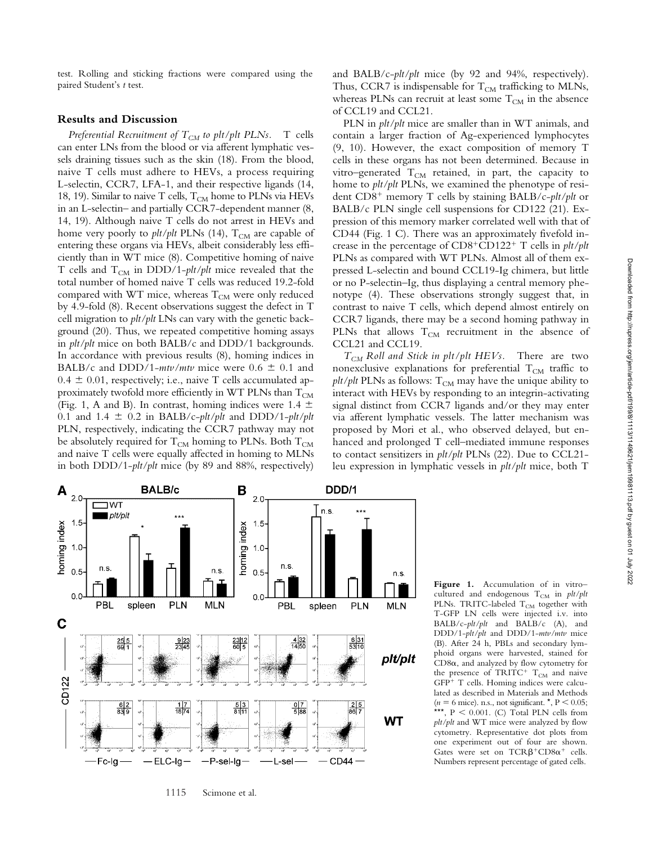test. Rolling and sticking fractions were compared using the paired Student's *t* test.

#### **Results and Discussion**

*Preferential Recruitment of*  $T_{CM}$  *to plt/plt PLNs.* T cells can enter LNs from the blood or via afferent lymphatic vessels draining tissues such as the skin (18). From the blood, naive T cells must adhere to HEVs, a process requiring L-selectin, CCR7, LFA-1, and their respective ligands (14, 18, 19). Similar to naive T cells,  $T_{CM}$  home to PLNs via HEVs in an L-selectin– and partially CCR7-dependent manner (8, 14, 19). Although naive T cells do not arrest in HEVs and home very poorly to *plt/plt* PLNs (14), T<sub>CM</sub> are capable of entering these organs via HEVs, albeit considerably less efficiently than in WT mice (8). Competitive homing of naive T cells and T<sub>CM</sub> in DDD/1-*plt/plt* mice revealed that the total number of homed naive T cells was reduced 19.2-fold compared with WT mice, whereas  $T_{CM}$  were only reduced by 4.9-fold (8). Recent observations suggest the defect in T cell migration to *plt/plt* LNs can vary with the genetic background (20). Thus, we repeated competitive homing assays in *plt/plt* mice on both BALB/c and DDD/1 backgrounds. In accordance with previous results (8), homing indices in BALB/c and DDD/1- $mtv/mtv$  mice were  $0.6 \pm 0.1$  and  $0.4 \pm 0.01$ , respectively; i.e., naive T cells accumulated approximately twofold more efficiently in WT PLNs than  $T_{CM}$ (Fig. 1, A and B). In contrast, homing indices were 1.4  $\pm$ 0.1 and 1.4  $\pm$  0.2 in BALB/c-*plt/plt* and DDD/1-*plt/plt* PLN, respectively, indicating the CCR7 pathway may not be absolutely required for  $T_{CM}$  homing to PLNs. Both  $T_{CM}$ and naive T cells were equally affected in homing to MLNs in both DDD/1-*plt/plt* mice (by 89 and 88%, respectively)

and BALB/c-*plt/plt* mice (by 92 and 94%, respectively). Thus, CCR7 is indispensable for  $T_{CM}$  trafficking to MLNs, whereas PLNs can recruit at least some  $T_{CM}$  in the absence of CCL19 and CCL21.

PLN in *plt/plt* mice are smaller than in WT animals, and contain a larger fraction of Ag-experienced lymphocytes (9, 10). However, the exact composition of memory T cells in these organs has not been determined. Because in vitro–generated  $T_{CM}$  retained, in part, the capacity to home to *plt/plt* PLNs, we examined the phenotype of resident CD8- memory T cells by staining BALB/c-*plt/plt* or BALB/c PLN single cell suspensions for CD122 (21). Expression of this memory marker correlated well with that of CD44 (Fig. 1 C). There was an approximately fivefold increase in the percentage of CD8-CD122- T cells in *plt/plt* PLNs as compared with WT PLNs. Almost all of them expressed L-selectin and bound CCL19-Ig chimera, but little or no P-selectin–Ig, thus displaying a central memory phenotype (4). These observations strongly suggest that, in contrast to naive T cells, which depend almost entirely on CCR7 ligands, there may be a second homing pathway in PLNs that allows  $T_{CM}$  recruitment in the absence of CCL21 and CCL19.

*TCM Roll and Stick in plt/plt HEVs.* There are two nonexclusive explanations for preferential  $T_{CM}$  traffic to  $plt/plt$  PLNs as follows:  $T<sub>CM</sub>$  may have the unique ability to interact with HEVs by responding to an integrin-activating signal distinct from CCR7 ligands and/or they may enter via afferent lymphatic vessels. The latter mechanism was proposed by Mori et al., who observed delayed, but enhanced and prolonged T cell–mediated immune responses to contact sensitizers in *plt/plt* PLNs (22). Due to CCL21 leu expression in lymphatic vessels in *plt/plt* mice, both T



1115 Scimone et al.

**Figure 1.** Accumulation of in vitro– cultured and endogenous T<sub>CM</sub> in *plt/plt* PLNs. TRITC-labeled  $T_{CM}$  together with T-GFP LN cells were injected i.v. into BALB/c-*plt/plt* and BALB/c (A), and DDD/1-*plt/plt* and DDD/1-*mtv/mtv* mice (B). After 24 h, PBLs and secondary lymphoid organs were harvested, stained for  $CD8\alpha$ , and analyzed by flow cytometry for the presence of  $TRITC^+$   $T_{CM}$  and naive GFP<sup>+</sup> T cells. Homing indices were calculated as described in Materials and Methods  $(n = 6$  mice). n.s., not significant.  $\star$ ,  $P < 0.05$ ; \*\*\*,  $P < 0.001$ . (C) Total PLN cells from *plt/plt* and WT mice were analyzed by flow cytometry. Representative dot plots from one experiment out of four are shown. Gates were set on  $TCR\beta^+CD8\alpha^+$  cells. Numbers represent percentage of gated cells.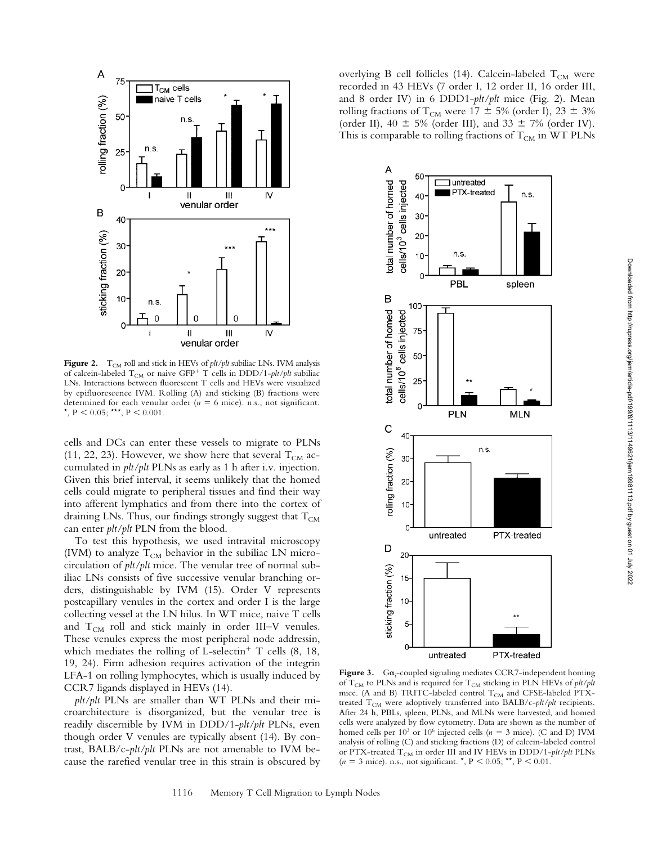

Figure 2. T<sub>CM</sub> roll and stick in HEVs of *plt/plt* subiliac LNs. IVM analysis of calcein-labeled T<sub>CM</sub> or naive GFP<sup>+</sup> T cells in DDD/1-*plt/plt* subiliac LNs. Interactions between fluorescent T cells and HEVs were visualized by epifluorescence IVM. Rolling (A) and sticking (B) fractions were determined for each venular order  $(n = 6$  mice). n.s., not significant. \*,  $P < 0.05$ ; \*\*\*,  $P < 0.001$ .

cells and DCs can enter these vessels to migrate to PLNs (11, 22, 23). However, we show here that several  $T_{CM}$  accumulated in *plt/plt* PLNs as early as 1 h after i.v. injection. Given this brief interval, it seems unlikely that the homed cells could migrate to peripheral tissues and find their way into afferent lymphatics and from there into the cortex of draining LNs. Thus, our findings strongly suggest that  $T_{CM}$ can enter *plt/plt* PLN from the blood.

To test this hypothesis, we used intravital microscopy (IVM) to analyze  $T_{CM}$  behavior in the subiliac LN microcirculation of *plt/plt* mice. The venular tree of normal subiliac LNs consists of five successive venular branching orders, distinguishable by IVM (15). Order V represents postcapillary venules in the cortex and order I is the large collecting vessel at the LN hilus. In WT mice, naive T cells and  $T_{CM}$  roll and stick mainly in order III–V venules. These venules express the most peripheral node addressin, which mediates the rolling of  $L$ -selectin<sup>+</sup> T cells  $(8, 18, 18)$ 19, 24). Firm adhesion requires activation of the integrin LFA-1 on rolling lymphocytes, which is usually induced by CCR7 ligands displayed in HEVs (14).

*plt/plt* PLNs are smaller than WT PLNs and their microarchitecture is disorganized, but the venular tree is readily discernible by IVM in DDD/1-*plt/plt* PLNs, even though order V venules are typically absent (14). By contrast, BALB/c-*plt/plt* PLNs are not amenable to IVM because the rarefied venular tree in this strain is obscured by overlying B cell follicles (14). Calcein-labeled  $T_{CM}$  were recorded in 43 HEVs (7 order I, 12 order II, 16 order III, and 8 order IV) in 6 DDD1-*plt/plt* mice (Fig. 2). Mean rolling fractions of T<sub>CM</sub> were 17  $\pm$  5% (order I), 23  $\pm$  3% (order II), 40  $\pm$  5% (order III), and 33  $\pm$  7% (order IV). This is comparable to rolling fractions of  $T_{CM}$  in WT PLNs



Figure 3.  $Ga_i$ -coupled signaling mediates CCR7-independent homing of  $T_{CM}$  to PLNs and is required for  $T_{CM}$  sticking in PLN HEVs of  $plt/plt$ mice. (A and B) TRITC-labeled control  $T_{CM}$  and CFSE-labeled PTXtreated T<sub>CM</sub> were adoptively transferred into BALB/c-plt/plt recipients. After 24 h, PBLs, spleen, PLNs, and MLNs were harvested, and homed cells were analyzed by flow cytometry. Data are shown as the number of homed cells per  $10^3$  or  $10^6$  injected cells ( $n = 3$  mice). (C and D) IVM analysis of rolling (C) and sticking fractions (D) of calcein-labeled control or PTX-treated T<sub>CM</sub> in order III and IV HEVs in DDD/1-plt/plt PLNs  $(n = 3$  mice). n.s., not significant. \*,  $P < 0.05$ ; \*\*,  $P < 0.01$ .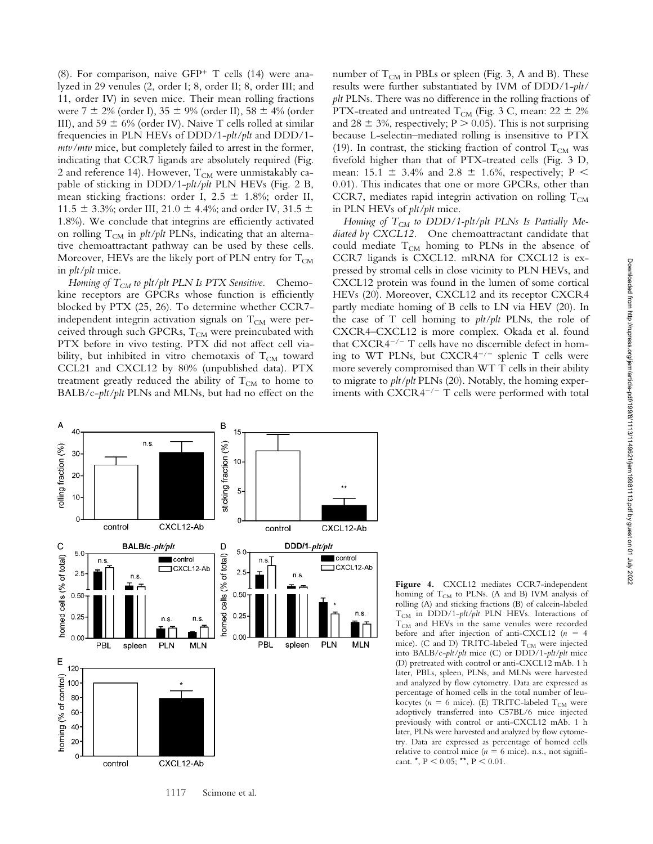(8). For comparison, naive GFP- T cells (14) were analyzed in 29 venules (2, order I; 8, order II; 8, order III; and 11, order IV) in seven mice. Their mean rolling fractions were 7  $\pm$  2% (order I), 35  $\pm$  9% (order II), 58  $\pm$  4% (order III), and 59  $\pm$  6% (order IV). Naive T cells rolled at similar frequencies in PLN HEVs of DDD/1-*plt/plt* and DDD/1 *mtv/mtv* mice, but completely failed to arrest in the former, indicating that CCR7 ligands are absolutely required (Fig. 2 and reference 14). However,  $T_{CM}$  were unmistakably capable of sticking in DDD/1-*plt/plt* PLN HEVs (Fig. 2 B, mean sticking fractions: order I,  $2.5 \pm 1.8\%$ ; order II, 11.5  $\pm$  3.3%; order III, 21.0  $\pm$  4.4%; and order IV, 31.5  $\pm$ 1.8%). We conclude that integrins are efficiently activated on rolling T<sub>CM</sub> in *plt/plt* PLNs, indicating that an alternative chemoattractant pathway can be used by these cells. Moreover, HEVs are the likely port of PLN entry for  $T_{CM}$ in *plt/plt* mice.

*Homing of*  $T_{CM}$  *to plt/plt PLN Is PTX Sensitive.* Chemokine receptors are GPCRs whose function is efficiently blocked by PTX (25, 26). To determine whether CCR7 independent integrin activation signals on  $T_{CM}$  were perceived through such GPCRs,  $T_{CM}$  were preincubated with PTX before in vivo testing. PTX did not affect cell viability, but inhibited in vitro chemotaxis of  $T_{CM}$  toward CCL21 and CXCL12 by 80% (unpublished data). PTX treatment greatly reduced the ability of  $T_{CM}$  to home to BALB/c-*plt/plt* PLNs and MLNs, but had no effect on the number of  $T_{CM}$  in PBLs or spleen (Fig. 3, A and B). These results were further substantiated by IVM of DDD/1-*plt/ plt* PLNs. There was no difference in the rolling fractions of PTX-treated and untreated T<sub>CM</sub> (Fig. 3 C, mean: 22  $\pm$  2% and 28  $\pm$  3%, respectively; P  $>$  0.05). This is not surprising because L-selectin–mediated rolling is insensitive to PTX (19). In contrast, the sticking fraction of control  $T_{CM}$  was fivefold higher than that of PTX-treated cells (Fig. 3 D, mean: 15.1  $\pm$  3.4% and 2.8  $\pm$  1.6%, respectively; P < 0.01). This indicates that one or more GPCRs, other than CCR7, mediates rapid integrin activation on rolling  $T_{CM}$ in PLN HEVs of *plt/plt* mice.

Homing of T<sub>CM</sub> to DDD/1-plt/plt PLNs Is Partially Me*diated by CXCL12.* One chemoattractant candidate that could mediate  $T_{CM}$  homing to PLNs in the absence of CCR7 ligands is CXCL12. mRNA for CXCL12 is expressed by stromal cells in close vicinity to PLN HEVs, and CXCL12 protein was found in the lumen of some cortical HEVs (20). Moreover, CXCL12 and its receptor CXCR4 partly mediate homing of B cells to LN via HEV (20). In the case of T cell homing to *plt/plt* PLNs, the role of CXCR4–CXCL12 is more complex. Okada et al. found that  $CXCR4^{-/-}$  T cells have no discernible defect in homing to WT PLNs, but  $CXCRA^{-/-}$  splenic T cells were more severely compromised than WT T cells in their ability to migrate to *plt/plt* PLNs (20). Notably, the homing experiments with  $\text{CXCR4}^{-/-}$  T cells were performed with total



**Figure 4.** CXCL12 mediates CCR7-independent homing of  $T_{CM}$  to PLNs. (A and B) IVM analysis of rolling (A) and sticking fractions (B) of calcein-labeled T<sub>CM</sub> in DDD/1-plt/plt PLN HEVs. Interactions of  $T_{CM}$  and HEVs in the same venules were recorded before and after injection of anti-CXCL12  $(n = 4)$ mice). (C and D) TRITC-labeled  $T_{CM}$  were injected into BALB/c-*plt/plt* mice (C) or DDD/1-*plt/plt* mice (D) pretreated with control or anti-CXCL12 mAb. 1 h later, PBLs, spleen, PLNs, and MLNs were harvested and analyzed by flow cytometry. Data are expressed as percentage of homed cells in the total number of leukocytes ( $n = 6$  mice). (E) TRITC-labeled  $T_{CM}$  were adoptively transferred into C57BL/6 mice injected previously with control or anti-CXCL12 mAb. 1 h later, PLNs were harvested and analyzed by flow cytometry. Data are expressed as percentage of homed cells relative to control mice ( $n = 6$  mice). n.s., not significant.  $^{\star}$ , P < 0.05;  $^{\star\star}$ , P < 0.01.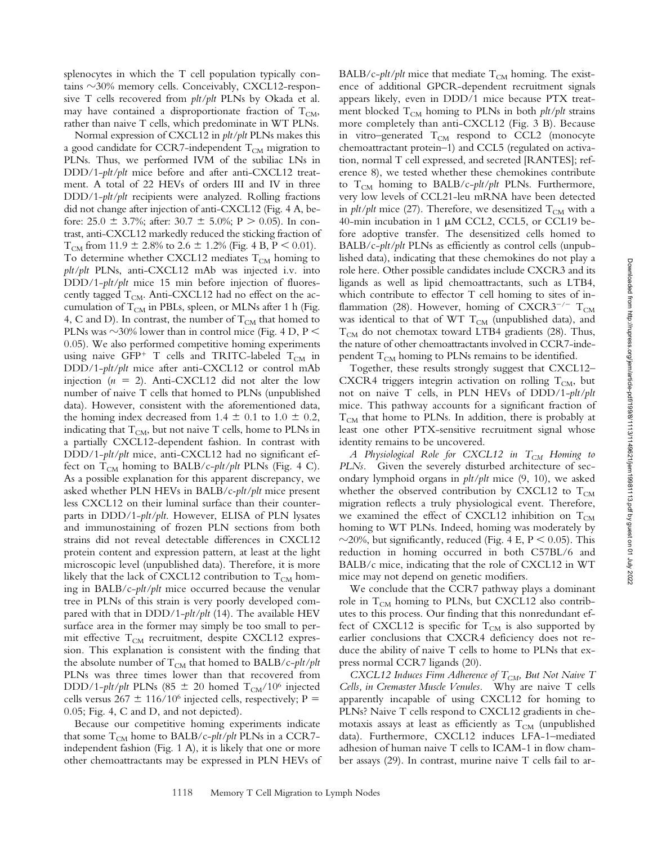splenocytes in which the T cell population typically contains  $\sim$ 30% memory cells. Conceivably, CXCL12-responsive T cells recovered from *plt/plt* PLNs by Okada et al. may have contained a disproportionate fraction of  $T_{CM}$ , rather than naive T cells, which predominate in WT PLNs.

Normal expression of CXCL12 in *plt/plt* PLNs makes this a good candidate for CCR7-independent  $T_{CM}$  migration to PLNs. Thus, we performed IVM of the subiliac LNs in DDD/1-*plt/plt* mice before and after anti-CXCL12 treatment. A total of 22 HEVs of orders III and IV in three DDD/1-*plt/plt* recipients were analyzed. Rolling fractions did not change after injection of anti-CXCL12 (Fig. 4 A, before:  $25.0 \pm 3.7\%$ ; after:  $30.7 \pm 5.0\%$ ; P  $> 0.05$ ). In contrast, anti-CXCL12 markedly reduced the sticking fraction of  $T_{CM}$  from 11.9  $\pm$  2.8% to 2.6  $\pm$  1.2% (Fig. 4 B, P < 0.01). To determine whether CXCL12 mediates  $T_{CM}$  homing to *plt/plt* PLNs, anti-CXCL12 mAb was injected i.v. into DDD/1-*plt/plt* mice 15 min before injection of fluorescently tagged  $T_{CM}$ . Anti-CXCL12 had no effect on the accumulation of  $T_{CM}$  in PBLs, spleen, or MLNs after 1 h (Fig. 4, C and D). In contrast, the number of  $T_{CM}$  that homed to PLNs was  $\sim$ 30% lower than in control mice (Fig. 4 D, P < 0.05). We also performed competitive homing experiments using naive GFP<sup>+</sup> T cells and TRITC-labeled  $T_{CM}$  in DDD/1-*plt/plt* mice after anti-CXCL12 or control mAb injection  $(n = 2)$ . Anti-CXCL12 did not alter the low number of naive T cells that homed to PLNs (unpublished data). However, consistent with the aforementioned data, the homing index decreased from 1.4  $\pm$  0.1 to 1.0  $\pm$  0.2, indicating that  $T_{CM}$ , but not naive T cells, home to PLNs in a partially CXCL12-dependent fashion. In contrast with DDD/1-*plt/plt* mice, anti-CXCL12 had no significant effect on  $T_{CM}$  homing to BALB/c-*plt/plt* PLNs (Fig. 4 C). As a possible explanation for this apparent discrepancy, we asked whether PLN HEVs in BALB/c*-plt/plt* mice present less CXCL12 on their luminal surface than their counterparts in DDD/1-*plt/plt*. However, ELISA of PLN lysates and immunostaining of frozen PLN sections from both strains did not reveal detectable differences in CXCL12 protein content and expression pattern, at least at the light microscopic level (unpublished data). Therefore, it is more likely that the lack of CXCL12 contribution to  $T_{CM}$  homing in BALB/c-*plt/plt* mice occurred because the venular tree in PLNs of this strain is very poorly developed compared with that in DDD/1-*plt/plt* (14). The available HEV surface area in the former may simply be too small to permit effective  $T_{CM}$  recruitment, despite CXCL12 expression. This explanation is consistent with the finding that the absolute number of  $T_{CM}$  that homed to BALB/c-plt/plt PLNs was three times lower than that recovered from DDD/1-*plt/plt* PLNs (85  $\pm$  20 homed T<sub>CM</sub>/10<sup>6</sup> injected cells versus  $267 \pm 116/10^6$  injected cells, respectively; P = 0.05; Fig. 4, C and D, and not depicted).

Because our competitive homing experiments indicate that some T<sub>CM</sub> home to BALB/c-plt/plt PLNs in a CCR7independent fashion (Fig. 1 A), it is likely that one or more other chemoattractants may be expressed in PLN HEVs of BALB/c- $plt/plt$  mice that mediate  $T_{CM}$  homing. The existence of additional GPCR-dependent recruitment signals appears likely, even in DDD/1 mice because PTX treatment blocked  $T_{CM}$  homing to PLNs in both *plt/plt* strains more completely than anti-CXCL12 (Fig. 3 B). Because in vitro–generated  $T_{CM}$  respond to CCL2 (monocyte chemoattractant protein–1) and CCL5 (regulated on activation, normal T cell expressed, and secreted [RANTES]; reference 8), we tested whether these chemokines contribute to  $T_{CM}$  homing to BALB/c-plt/plt PLNs. Furthermore, very low levels of CCL21-leu mRNA have been detected in  $plt/plt$  mice (27). Therefore, we desensitized  $T_{CM}$  with a 40-min incubation in 1  $\mu$ M CCL2, CCL5, or CCL19 before adoptive transfer. The desensitized cells homed to BALB/c-*plt/plt* PLNs as efficiently as control cells (unpublished data), indicating that these chemokines do not play a role here. Other possible candidates include CXCR3 and its ligands as well as lipid chemoattractants, such as LTB4, which contribute to effector T cell homing to sites of inflammation (28). However, homing of CXCR3<sup>-/-</sup> T<sub>CM</sub> was identical to that of WT  $T_{CM}$  (unpublished data), and  $T_{CM}$  do not chemotax toward LTB4 gradients (28). Thus, the nature of other chemoattractants involved in CCR7-independent  $T_{CM}$  homing to PLNs remains to be identified.

Together, these results strongly suggest that CXCL12– CXCR4 triggers integrin activation on rolling  $T_{CM}$ , but not on naive T cells, in PLN HEVs of DDD/1-*plt/plt* mice. This pathway accounts for a significant fraction of  $T_{CM}$  that home to PLNs. In addition, there is probably at least one other PTX-sensitive recruitment signal whose identity remains to be uncovered.

A Physiological Role for CXCL12 in T<sub>CM</sub> Homing to *PLNs.* Given the severely disturbed architecture of secondary lymphoid organs in *plt/plt* mice (9, 10), we asked whether the observed contribution by CXCL12 to  $T_{CM}$ migration reflects a truly physiological event. Therefore, we examined the effect of CXCL12 inhibition on  $T_{CM}$ homing to WT PLNs. Indeed, homing was moderately by  $\sim$ 20%, but significantly, reduced (Fig. 4 E, P < 0.05). This reduction in homing occurred in both C57BL/6 and BALB/c mice, indicating that the role of CXCL12 in WT mice may not depend on genetic modifiers.

We conclude that the CCR7 pathway plays a dominant role in  $T_{CM}$  homing to PLNs, but CXCL12 also contributes to this process. Our finding that this nonredundant effect of CXCL12 is specific for  $T_{CM}$  is also supported by earlier conclusions that CXCR4 deficiency does not reduce the ability of naive T cells to home to PLNs that express normal CCR7 ligands (20).

*CXCL12 Induces Firm Adherence of T<sub>CM</sub>, But Not Naive T Cells, in Cremaster Muscle Venules.* Why are naive T cells apparently incapable of using CXCL12 for homing to PLNs? Naive T cells respond to CXCL12 gradients in chemotaxis assays at least as efficiently as  $T_{CM}$  (unpublished data). Furthermore, CXCL12 induces LFA-1–mediated adhesion of human naive T cells to ICAM-1 in flow chamber assays (29). In contrast, murine naive T cells fail to ar-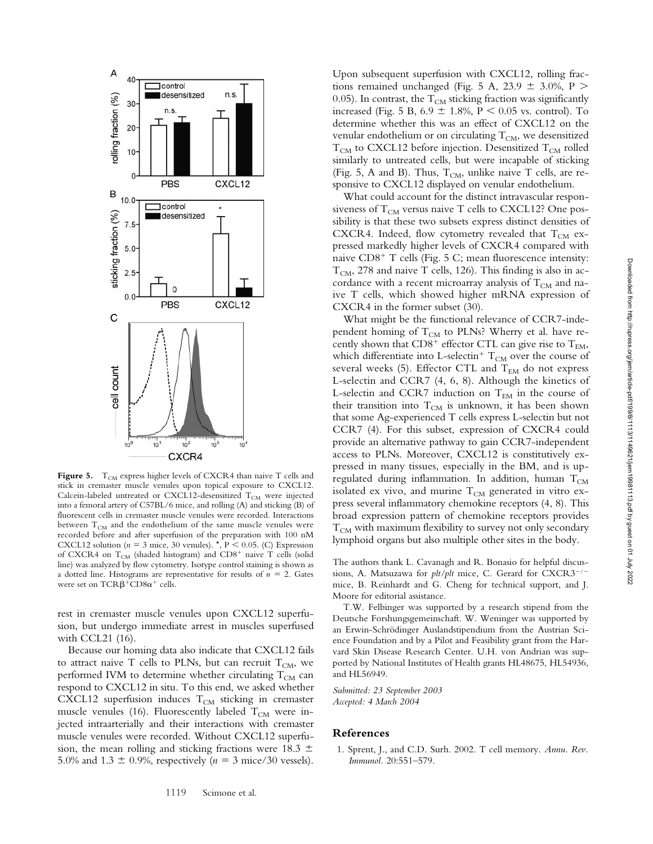

Figure 5. T<sub>CM</sub> express higher levels of CXCR4 than naive T cells and stick in cremaster muscle venules upon topical exposure to CXCL12. Calcein-labeled untreated or CXCL12-desensitized  $\rm T_{\rm CM}$  were injected into a femoral artery of C57BL/6 mice, and rolling (A) and sticking (B) of fluorescent cells in cremaster muscle venules were recorded. Interactions between  $T_{CM}$  and the endothelium of the same muscle venules were recorded before and after superfusion of the preparation with 100 nM CXCL12 solution ( $n = 3$  mice, 30 venules).  $\star$ , P < 0.05. (C) Expression of CXCR4 on  $T_{CM}$  (shaded histogram) and CD8<sup>+</sup> naive T cells (solid line) was analyzed by flow cytometry. Isotype control staining is shown as a dotted line. Histograms are representative for results of  $n = 2$ . Gates were set on  $TCR\beta^+CD8\alpha^+$  cells.

rest in cremaster muscle venules upon CXCL12 superfusion, but undergo immediate arrest in muscles superfused with CCL21 (16).

Because our homing data also indicate that CXCL12 fails to attract naive T cells to PLNs, but can recruit  $T_{CM}$ , we performed IVM to determine whether circulating  $T_{CM}$  can respond to CXCL12 in situ. To this end, we asked whether CXCL12 superfusion induces  $T_{CM}$  sticking in cremaster muscle venules (16). Fluorescently labeled  $T_{CM}$  were injected intraarterially and their interactions with cremaster muscle venules were recorded. Without CXCL12 superfusion, the mean rolling and sticking fractions were  $18.3 \pm$ 5.0% and 1.3  $\pm$  0.9%, respectively ( $n = 3$  mice/30 vessels).

Upon subsequent superfusion with CXCL12, rolling fractions remained unchanged (Fig. 5 A, 23.9  $\pm$  3.0%, P  $>$ 0.05). In contrast, the  $T_{CM}$  sticking fraction was significantly increased (Fig. 5 B,  $6.9 \pm 1.8\%$ ,  $P < 0.05$  vs. control). To determine whether this was an effect of CXCL12 on the venular endothelium or on circulating  $T_{CM}$ , we desensitized  $T_{CM}$  to CXCL12 before injection. Desensitized  $T_{CM}$  rolled similarly to untreated cells, but were incapable of sticking (Fig. 5, A and B). Thus,  $T_{CM}$ , unlike naive T cells, are responsive to CXCL12 displayed on venular endothelium.

What could account for the distinct intravascular responsiveness of  $T_{CM}$  versus naive T cells to CXCL12? One possibility is that these two subsets express distinct densities of CXCR4. Indeed, flow cytometry revealed that  $T_{CM}$  expressed markedly higher levels of CXCR4 compared with naive CD8<sup>+</sup> T cells (Fig. 5 C; mean fluorescence intensity:  $T_{CM}$ , 278 and naive T cells, 126). This finding is also in accordance with a recent microarray analysis of  $T_{CM}$  and naive T cells, which showed higher mRNA expression of CXCR4 in the former subset (30).

What might be the functional relevance of CCR7-independent homing of  $T_{CM}$  to PLNs? Wherry et al. have recently shown that  $CD8^+$  effector CTL can give rise to  $T_{EM}$ , which differentiate into L-selectin $^+$   $\rm T_{CM}$  over the course of several weeks (5). Effector CTL and  $T_{EM}$  do not express L-selectin and CCR7 (4, 6, 8). Although the kinetics of L-selectin and CCR7 induction on  $T_{EM}$  in the course of their transition into  $T_{CM}$  is unknown, it has been shown that some Ag-experienced T cells express L-selectin but not CCR7 (4). For this subset, expression of CXCR4 could provide an alternative pathway to gain CCR7-independent access to PLNs. Moreover, CXCL12 is constitutively expressed in many tissues, especially in the BM, and is upregulated during inflammation. In addition, human  $T_{CM}$ isolated ex vivo, and murine  $T_{CM}$  generated in vitro express several inflammatory chemokine receptors (4, 8). This broad expression pattern of chemokine receptors provides  $T_{CM}$  with maximum flexibility to survey not only secondary lymphoid organs but also multiple other sites in the body.

The authors thank L. Cavanagh and R. Bonasio for helpful discussions, A. Matsuzawa for *plt/plt* mice, C. Gerard for CXCR3<sup>-/-</sup> mice, B. Reinhardt and G. Cheng for technical support, and J. Moore for editorial assistance.

T.W. Felbinger was supported by a research stipend from the Deutsche Forshungsgemeinschaft. W. Weninger was supported by an Erwin-Schrödinger Auslandstipendium from the Austrian Science Foundation and by a Pilot and Feasibility grant from the Harvard Skin Disease Research Center. U.H. von Andrian was supported by National Institutes of Health grants HL48675, HL54936, and HL56949.

*Submitted: 23 September 2003 Accepted: 4 March 2004*

## **References**

1. Sprent, J., and C.D. Surh. 2002. T cell memory. *Annu. Rev. Immunol.* 20:551–579.